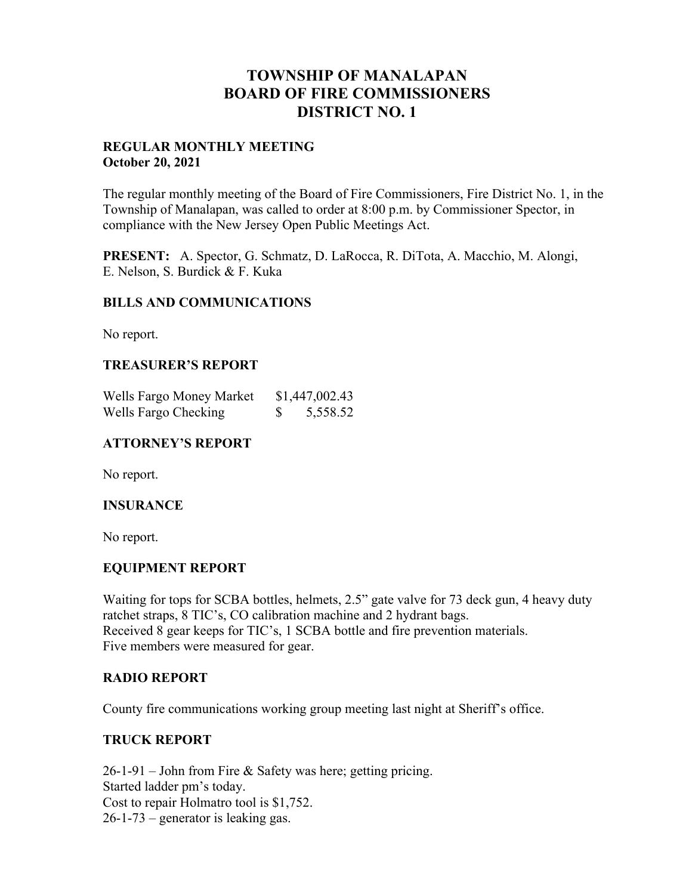# **TOWNSHIP OF MANALAPAN BOARD OF FIRE COMMISSIONERS DISTRICT NO. 1**

#### **REGULAR MONTHLY MEETING October 20, 2021**

The regular monthly meeting of the Board of Fire Commissioners, Fire District No. 1, in the Township of Manalapan, was called to order at 8:00 p.m. by Commissioner Spector, in compliance with the New Jersey Open Public Meetings Act.

**PRESENT:** A. Spector, G. Schmatz, D. LaRocca, R. DiTota, A. Macchio, M. Alongi, E. Nelson, S. Burdick & F. Kuka

### **BILLS AND COMMUNICATIONS**

No report.

### **TREASURER'S REPORT**

| Wells Fargo Money Market |   | \$1,447,002.43 |
|--------------------------|---|----------------|
| Wells Fargo Checking     | S | 5,558.52       |

## **ATTORNEY'S REPORT**

No report.

### **INSURANCE**

No report.

# **EQUIPMENT REPORT**

Waiting for tops for SCBA bottles, helmets, 2.5" gate valve for 73 deck gun, 4 heavy duty ratchet straps, 8 TIC's, CO calibration machine and 2 hydrant bags. Received 8 gear keeps for TIC's, 1 SCBA bottle and fire prevention materials. Five members were measured for gear.

### **RADIO REPORT**

County fire communications working group meeting last night at Sheriff's office.

# **TRUCK REPORT**

26-1-91 – John from Fire & Safety was here; getting pricing. Started ladder pm's today. Cost to repair Holmatro tool is \$1,752. 26-1-73 – generator is leaking gas.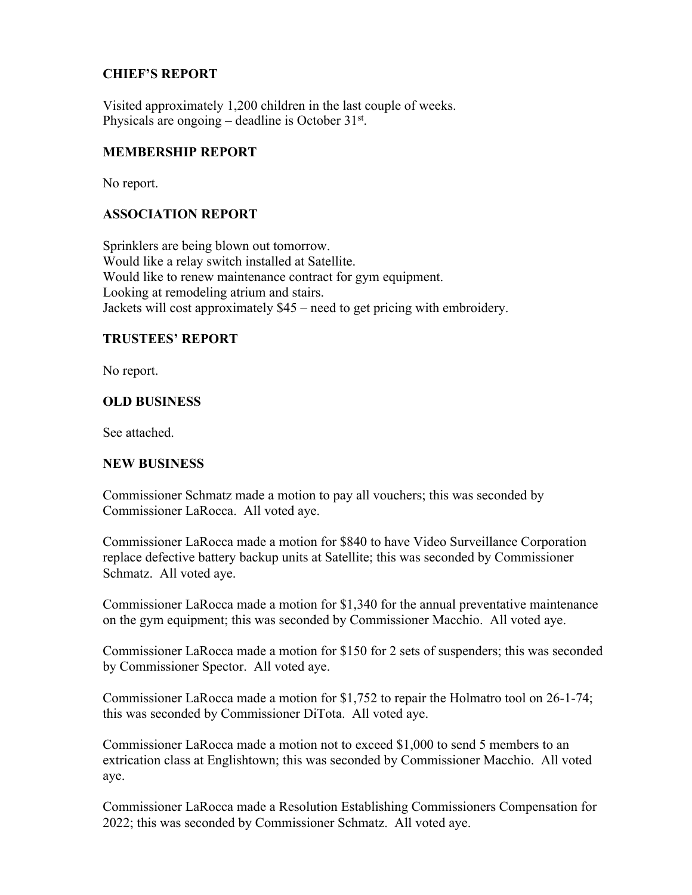# **CHIEF'S REPORT**

Visited approximately 1,200 children in the last couple of weeks. Physicals are ongoing – deadline is October  $31<sup>st</sup>$ .

## **MEMBERSHIP REPORT**

No report.

### **ASSOCIATION REPORT**

Sprinklers are being blown out tomorrow. Would like a relay switch installed at Satellite. Would like to renew maintenance contract for gym equipment. Looking at remodeling atrium and stairs. Jackets will cost approximately \$45 – need to get pricing with embroidery.

### **TRUSTEES' REPORT**

No report.

### **OLD BUSINESS**

See attached.

### **NEW BUSINESS**

Commissioner Schmatz made a motion to pay all vouchers; this was seconded by Commissioner LaRocca. All voted aye.

Commissioner LaRocca made a motion for \$840 to have Video Surveillance Corporation replace defective battery backup units at Satellite; this was seconded by Commissioner Schmatz. All voted aye.

Commissioner LaRocca made a motion for \$1,340 for the annual preventative maintenance on the gym equipment; this was seconded by Commissioner Macchio. All voted aye.

Commissioner LaRocca made a motion for \$150 for 2 sets of suspenders; this was seconded by Commissioner Spector. All voted aye.

Commissioner LaRocca made a motion for \$1,752 to repair the Holmatro tool on 26-1-74; this was seconded by Commissioner DiTota. All voted aye.

Commissioner LaRocca made a motion not to exceed \$1,000 to send 5 members to an extrication class at Englishtown; this was seconded by Commissioner Macchio. All voted aye.

Commissioner LaRocca made a Resolution Establishing Commissioners Compensation for 2022; this was seconded by Commissioner Schmatz. All voted aye.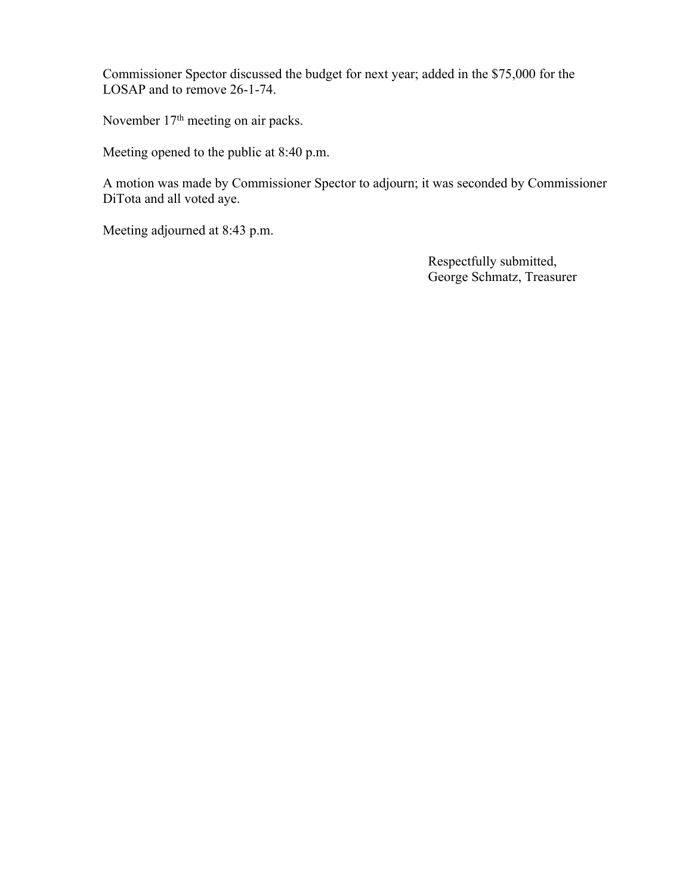Commissioner Spector discussed the budget for next year; added in the \$75,000 for the LOSAP and to remove 26-1-74.

November 17<sup>th</sup> meeting on air packs.

Meeting opened to the public at 8:40 p.m.

A motion was made by Commissioner Spector to adjourn; it was seconded by Commissioner DiTota and all voted aye.

Meeting adjourned at 8:43 p.m.

 Respectfully submitted, George Schmatz, Treasurer